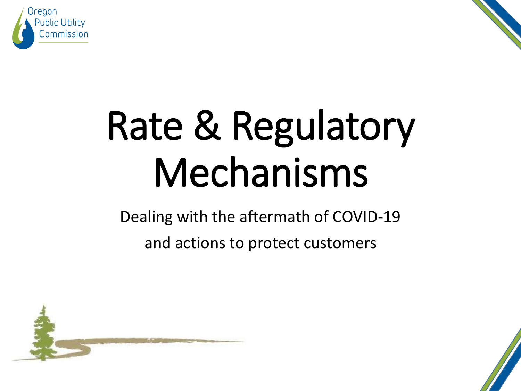



# Rate & Regulatory Mechanisms

Dealing with the aftermath of COVID-19

and actions to protect customers



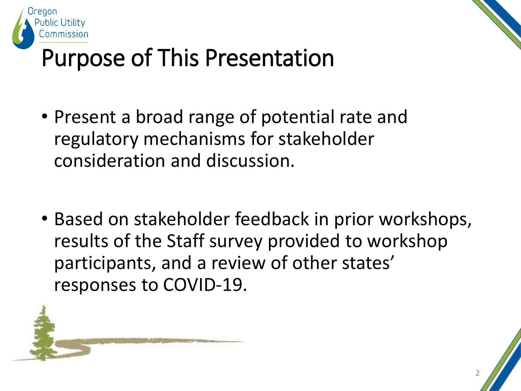



#### Purpose of This Presentation

- Present a broad range of potential rate and regulatory mechanisms for stakeholder consideration and discussion.
- Based on stakeholder feedback in prior workshops, results of the Staff survey provided to workshop participants, and a review of other states' responses to COVID-19.

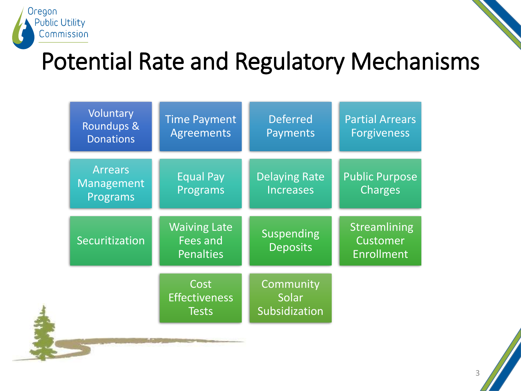

#### Potential Rate and Regulatory Mechanisms

| Voluntary<br><b>Roundups &amp;</b><br><b>Donations</b> | <b>Time Payment</b><br><b>Agreements</b>                   | <b>Deferred</b><br><b>Payments</b>       | <b>Partial Arrears</b><br><b>Forgiveness</b>  |
|--------------------------------------------------------|------------------------------------------------------------|------------------------------------------|-----------------------------------------------|
| <b>Arrears</b><br>Management<br>Programs               | <b>Equal Pay</b><br>Programs                               | <b>Delaying Rate</b><br><b>Increases</b> | <b>Public Purpose</b><br><b>Charges</b>       |
| Securitization                                         | <b>Waiving Late</b><br><b>Fees and</b><br><b>Penalties</b> | <b>Suspending</b><br><b>Deposits</b>     | Streamlining<br>Customer<br><b>Enrollment</b> |
|                                                        | Cost<br><b>Effectiveness</b><br><b>Tests</b>               | Community<br>Solar<br>Subsidization      |                                               |

3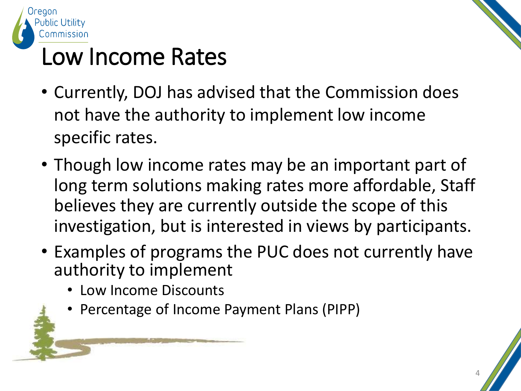

#### Low Income Rates

- Currently, DOJ has advised that the Commission does not have the authority to implement low income specific rates.
- Though low income rates may be an important part of long term solutions making rates more affordable, Staff believes they are currently outside the scope of this investigation, but is interested in views by participants.
- Examples of programs the PUC does not currently have authority to implement
	- Low Income Discounts
	- Percentage of Income Payment Plans (PIPP)

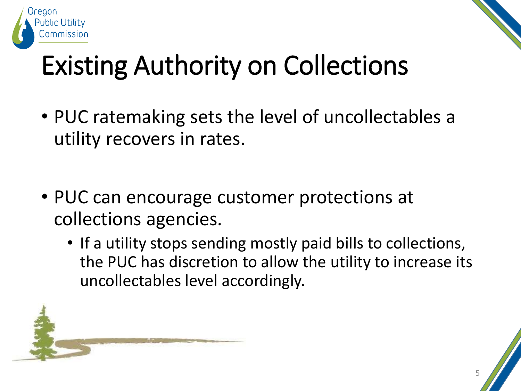



## Existing Authority on Collections

- PUC ratemaking sets the level of uncollectables a utility recovers in rates.
- PUC can encourage customer protections at collections agencies.
	- If a utility stops sending mostly paid bills to collections, the PUC has discretion to allow the utility to increase its uncollectables level accordingly.

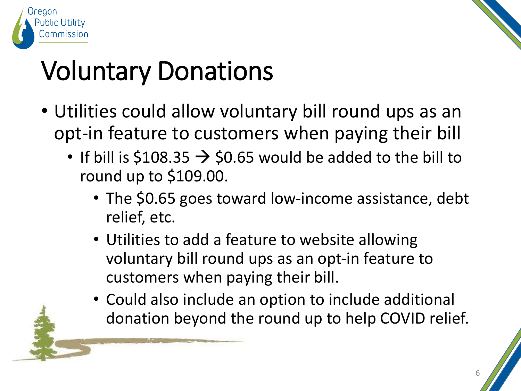



## Voluntary Donations

- Utilities could allow voluntary bill round ups as an opt-in feature to customers when paying their bill
	- If bill is \$108.35  $\rightarrow$  \$0.65 would be added to the bill to round up to \$109.00.
		- The \$0.65 goes toward low-income assistance, debt relief, etc.
		- Utilities to add a feature to website allowing voluntary bill round ups as an opt-in feature to customers when paying their bill.
		- Could also include an option to include additional donation beyond the round up to help COVID relief.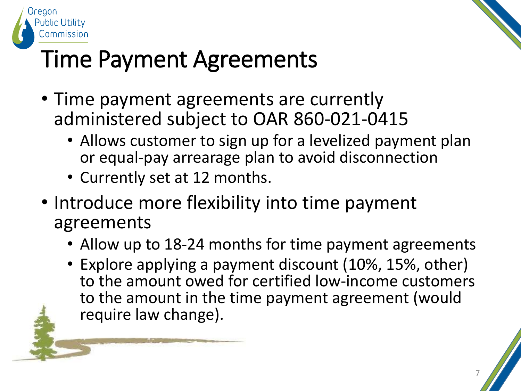



#### Time Payment Agreements

- Time payment agreements are currently administered subject to OAR 860-021-0415
	- Allows customer to sign up for a levelized payment plan or equal-pay arrearage plan to avoid disconnection
	- Currently set at 12 months.
- Introduce more flexibility into time payment agreements
	- Allow up to 18-24 months for time payment agreements
	- Explore applying a payment discount (10%, 15%, other) to the amount owed for certified low-income customers to the amount in the time payment agreement (would require law change).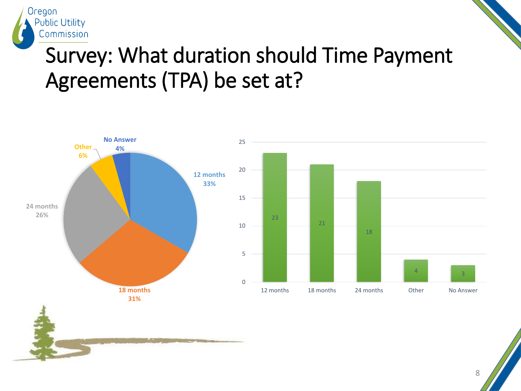

#### Survey: What duration should Time Payment Agreements (TPA) be set at?



8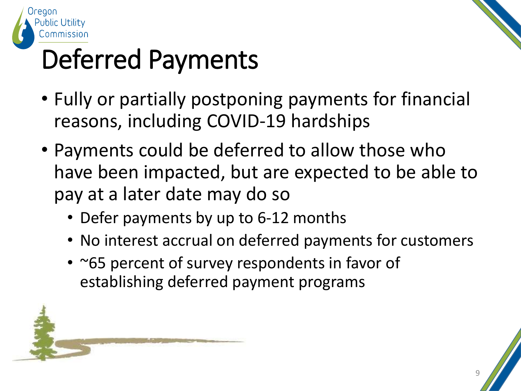

### Deferred Payments

- Fully or partially postponing payments for financial reasons, including COVID-19 hardships
- Payments could be deferred to allow those who have been impacted, but are expected to be able to pay at a later date may do so
	- Defer payments by up to 6-12 months
	- No interest accrual on deferred payments for customers
	- ~65 percent of survey respondents in favor of establishing deferred payment programs

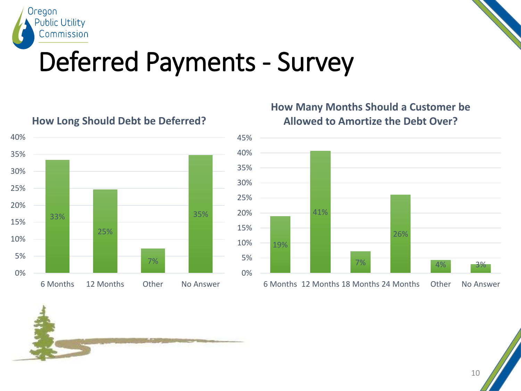



#### Deferred Payments - Survey



#### **How Long Should Debt be Deferred?**

#### **How Many Months Should a Customer be Allowed to Amortize the Debt Over?**





10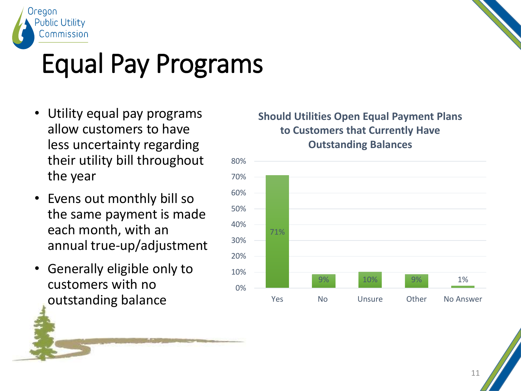



#### Equal Pay Programs

- Utility equal pay programs allow customers to have less uncertainty regarding their utility bill throughout the year
- Evens out monthly bill so the same payment is made each month, with an annual true-up/adjustment
- Generally eligible only to customers with no outstanding balance

#### **Should Utilities Open Equal Payment Plans to Customers that Currently Have Outstanding Balances**

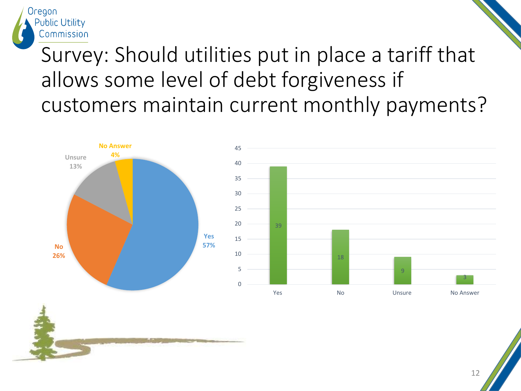

#### Survey: Should utilities put in place a tariff that allows some level of debt forgiveness if customers maintain current monthly payments?





12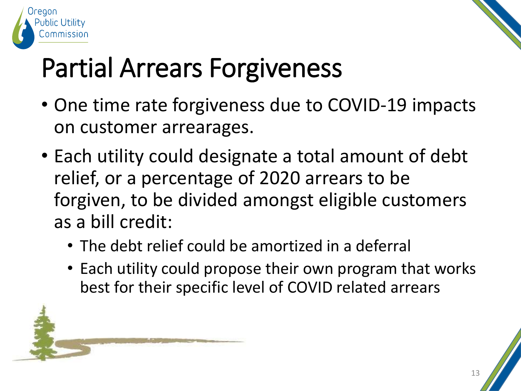



## Partial Arrears Forgiveness

- One time rate forgiveness due to COVID-19 impacts on customer arrearages.
- Each utility could designate a total amount of debt relief, or a percentage of 2020 arrears to be forgiven, to be divided amongst eligible customers as a bill credit:
	- The debt relief could be amortized in a deferral
	- Each utility could propose their own program that works best for their specific level of COVID related arrears

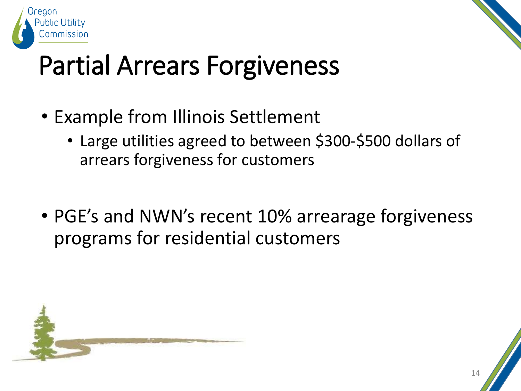



#### Partial Arrears Forgiveness

- Example from Illinois Settlement
	- Large utilities agreed to between \$300-\$500 dollars of arrears forgiveness for customers
- PGE's and NWN's recent 10% arrearage forgiveness programs for residential customers

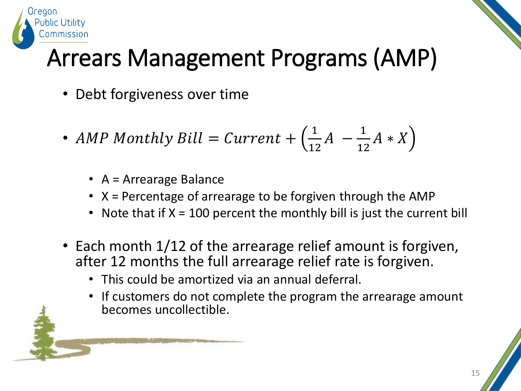

#### Arrears Management Programs (AMP)

- Debt forgiveness over time
- AMP Monthly Bill =  $Current + (\frac{1}{11})$ 12  $A -$ 1 12  $A * X$ 
	- A = Arrearage Balance
	- X = Percentage of arrearage to be forgiven through the AMP
	- Note that if  $X = 100$  percent the monthly bill is just the current bill
- Each month 1/12 of the arrearage relief amount is forgiven, after 12 months the full arrearage relief rate is forgiven.
	- This could be amortized via an annual deferral.
	- If customers do not complete the program the arrearage amount becomes uncollectible.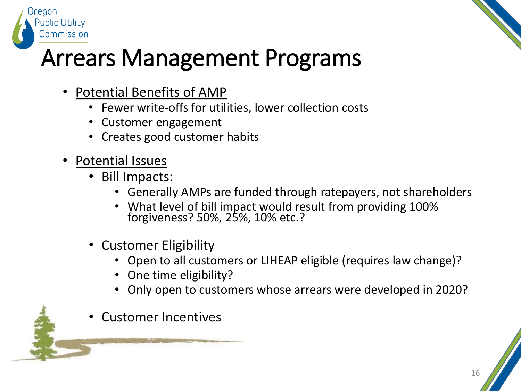



#### Arrears Management Programs

- Potential Benefits of AMP
	- Fewer write-offs for utilities, lower collection costs
	- Customer engagement
	- Creates good customer habits
- Potential Issues
	- Bill Impacts:
		- Generally AMPs are funded through ratepayers, not shareholders
		- What level of bill impact would result from providing 100% forgiveness? 50%, 25%, 10% etc.?
	- Customer Eligibility
		- Open to all customers or LIHEAP eligible (requires law change)?
		- One time eligibility?
		- Only open to customers whose arrears were developed in 2020?
	- Customer Incentives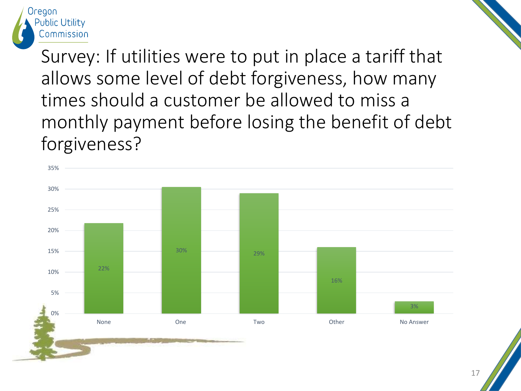

Survey: If utilities were to put in place a tariff that allows some level of debt forgiveness, how many times should a customer be allowed to miss a monthly payment before losing the benefit of debt forgiveness?

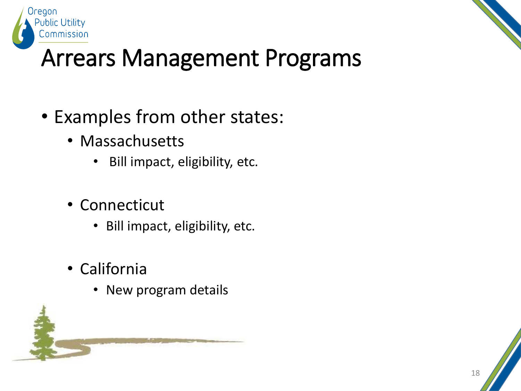

#### Arrears Management Programs

- Examples from other states:
	- Massachusetts
		- Bill impact, eligibility, etc.
	- Connecticut
		- Bill impact, eligibility, etc.
	- California
		- New program details

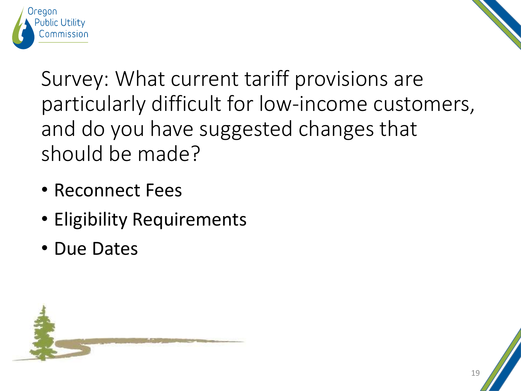



Survey: What current tariff provisions are particularly difficult for low-income customers, and do you have suggested changes that should be made?

- Reconnect Fees
- Eligibility Requirements
- Due Dates

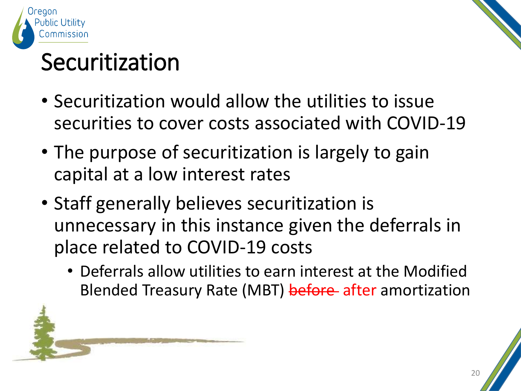

#### Securitization

- Securitization would allow the utilities to issue securities to cover costs associated with COVID-19
- The purpose of securitization is largely to gain capital at a low interest rates
- Staff generally believes securitization is unnecessary in this instance given the deferrals in place related to COVID-19 costs
	- Deferrals allow utilities to earn interest at the Modified Blended Treasury Rate (MBT) before after amortization

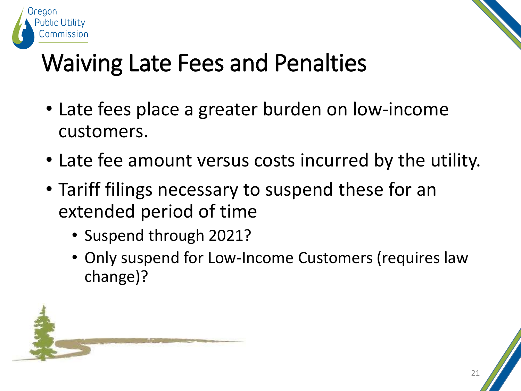



#### Waiving Late Fees and Penalties

- Late fees place a greater burden on low-income customers.
- Late fee amount versus costs incurred by the utility.
- Tariff filings necessary to suspend these for an extended period of time
	- Suspend through 2021?
	- Only suspend for Low-Income Customers (requires law change)?

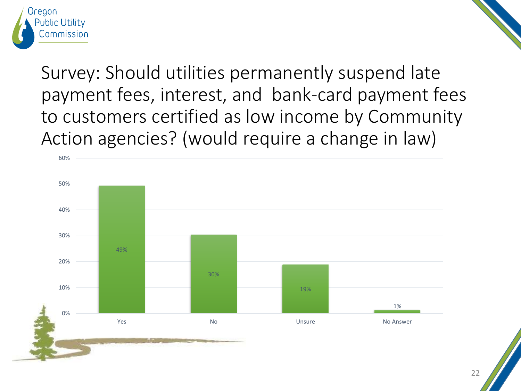

Survey: Should utilities permanently suspend late payment fees, interest, and bank-card payment fees to customers certified as low income by Community Action agencies? (would require a change in law)

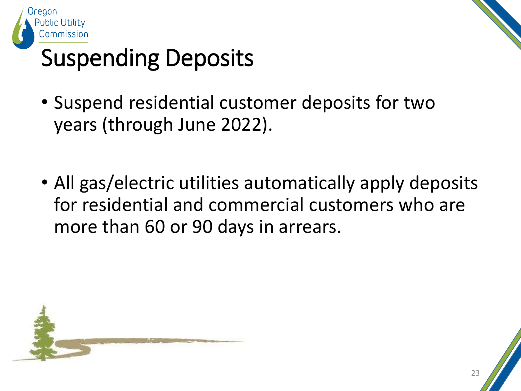



#### Suspending Deposits

- Suspend residential customer deposits for two years (through June 2022).
- All gas/electric utilities automatically apply deposits for residential and commercial customers who are more than 60 or 90 days in arrears.

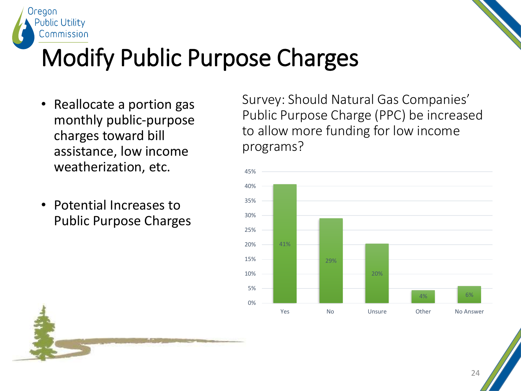



#### Modify Public Purpose Charges

- Reallocate a portion gas monthly public-purpose charges toward bill assistance, low income weatherization, etc.
- Potential Increases to Public Purpose Charges

Survey: Should Natural Gas Companies' Public Purpose Charge (PPC) be increased to allow more funding for low income programs?

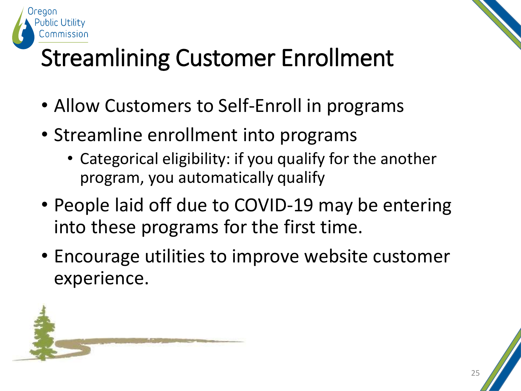

### Streamlining Customer Enrollment

- Allow Customers to Self-Enroll in programs
- Streamline enrollment into programs
	- Categorical eligibility: if you qualify for the another program, you automatically qualify
- People laid off due to COVID-19 may be entering into these programs for the first time.
- Encourage utilities to improve website customer experience.

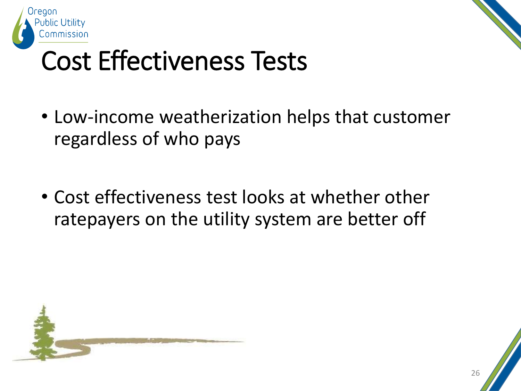



#### Cost Effectiveness Tests

- Low-income weatherization helps that customer regardless of who pays
- Cost effectiveness test looks at whether other ratepayers on the utility system are better off

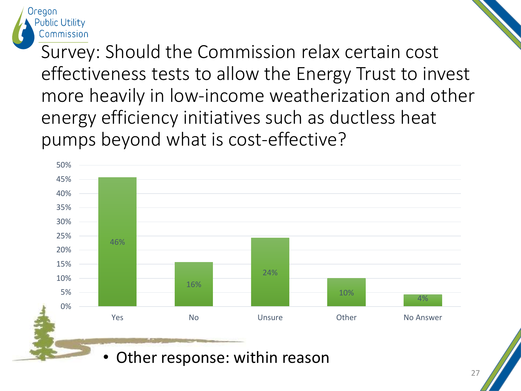

Survey: Should the Commission relax certain cost effectiveness tests to allow the Energy Trust to invest more heavily in low-income weatherization and other energy efficiency initiatives such as ductless heat pumps beyond what is cost-effective?

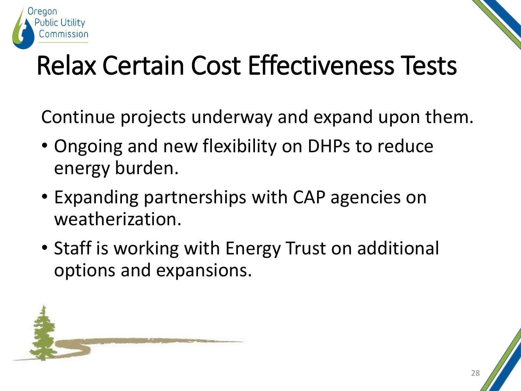

#### Relax Certain Cost Effectiveness Tests

Continue projects underway and expand upon them.

- Ongoing and new flexibility on DHPs to reduce energy burden.
- Expanding partnerships with CAP agencies on weatherization.
- Staff is working with Energy Trust on additional options and expansions.

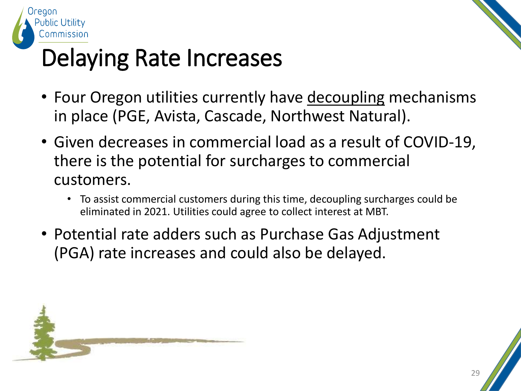



#### Delaying Rate Increases

- Four Oregon utilities currently have decoupling mechanisms in place (PGE, Avista, Cascade, Northwest Natural).
- Given decreases in commercial load as a result of COVID-19, there is the potential for surcharges to commercial customers.
	- To assist commercial customers during this time, decoupling surcharges could be eliminated in 2021. Utilities could agree to collect interest at MBT.
- Potential rate adders such as Purchase Gas Adjustment (PGA) rate increases and could also be delayed.